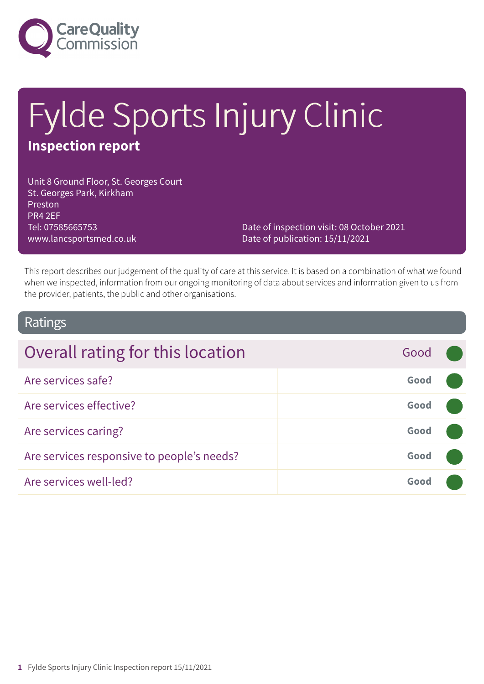

# Fylde Sports Injury Clinic **Inspection report**

Unit 8 Ground Floor, St. Georges Court St. Georges Park, Kirkham Preston PR4 2EF Tel: 07585665753 www.lancsportsmed.co.uk

Date of inspection visit: 08 October 2021 Date of publication: 15/11/2021

This report describes our judgement of the quality of care at this service. It is based on a combination of what we found when we inspected, information from our ongoing monitoring of data about services and information given to us from the provider, patients, the public and other organisations.

# Ratings

| Overall rating for this location           | Good |  |
|--------------------------------------------|------|--|
| Are services safe?                         | Good |  |
| Are services effective?                    | Good |  |
| Are services caring?                       | Good |  |
| Are services responsive to people's needs? | Good |  |
| Are services well-led?                     | Good |  |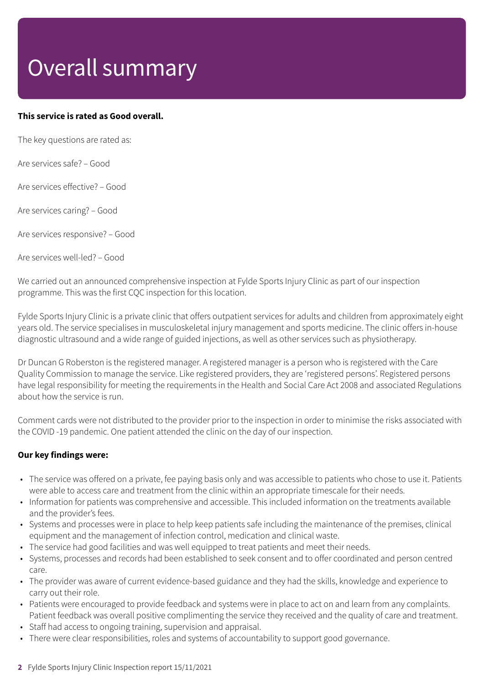# Overall summary

# **This service is rated as Good overall.**

The key questions are rated as:

Are services safe? – Good

Are services effective? – Good

Are services caring? – Good

Are services responsive? – Good

Are services well-led? – Good

We carried out an announced comprehensive inspection at Fylde Sports Injury Clinic as part of our inspection programme. This was the first CQC inspection for this location.

Fylde Sports Injury Clinic is a private clinic that offers outpatient services for adults and children from approximately eight years old. The service specialises in musculoskeletal injury management and sports medicine. The clinic offers in-house diagnostic ultrasound and a wide range of guided injections, as well as other services such as physiotherapy.

Dr Duncan G Roberston is the registered manager. A registered manager is a person who is registered with the Care Quality Commission to manage the service. Like registered providers, they are 'registered persons'. Registered persons have legal responsibility for meeting the requirements in the Health and Social Care Act 2008 and associated Regulations about how the service is run.

Comment cards were not distributed to the provider prior to the inspection in order to minimise the risks associated with the COVID -19 pandemic. One patient attended the clinic on the day of our inspection.

# **Our key findings were:**

- The service was offered on a private, fee paying basis only and was accessible to patients who chose to use it. Patients were able to access care and treatment from the clinic within an appropriate timescale for their needs.
- Information for patients was comprehensive and accessible. This included information on the treatments available and the provider's fees.
- Systems and processes were in place to help keep patients safe including the maintenance of the premises, clinical equipment and the management of infection control, medication and clinical waste.
- The service had good facilities and was well equipped to treat patients and meet their needs.
- Systems, processes and records had been established to seek consent and to offer coordinated and person centred care.
- The provider was aware of current evidence-based guidance and they had the skills, knowledge and experience to carry out their role.
- Patients were encouraged to provide feedback and systems were in place to act on and learn from any complaints. Patient feedback was overall positive complimenting the service they received and the quality of care and treatment.
- Staff had access to ongoing training, supervision and appraisal.
- There were clear responsibilities, roles and systems of accountability to support good governance.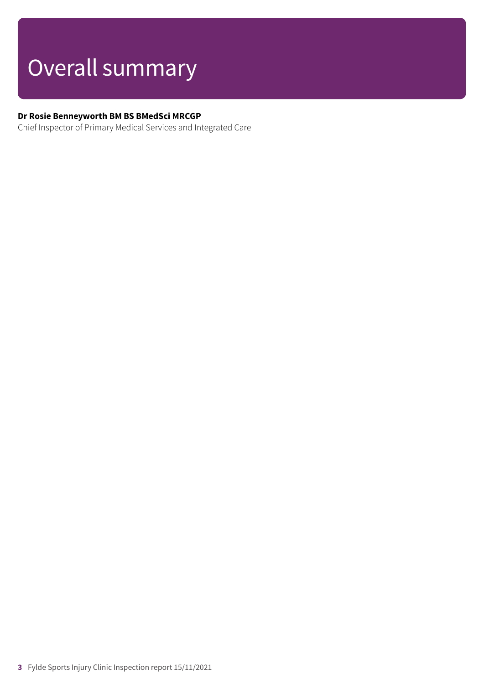# Overall summary

# **Dr Rosie Benneyworth BM BS BMedSci MRCGP**

Chief Inspector of Primary Medical Services and Integrated Care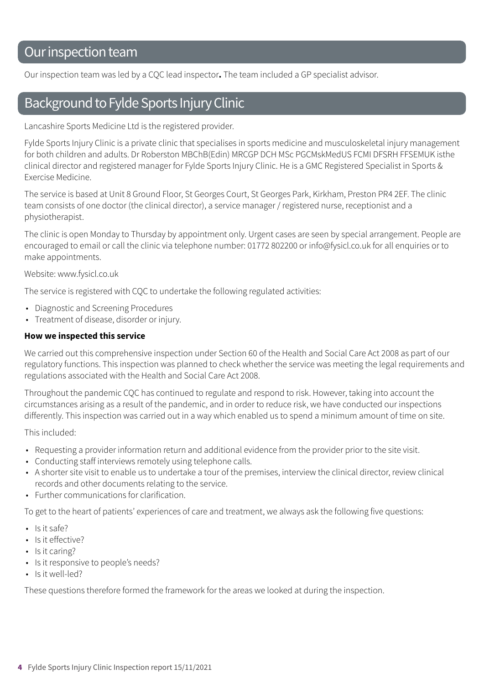# Our inspection team

Our inspection team was led by a CQC lead inspector**.** The team included a GP specialist advisor.

# Background to Fylde Sports Injury Clinic

Lancashire Sports Medicine Ltd is the registered provider.

Fylde Sports Injury Clinic is a private clinic that specialises in sports medicine and musculoskeletal injury management for both children and adults. Dr Roberston MBChB(Edin) MRCGP DCH MSc PGCMskMedUS FCMI DFSRH FFSEMUK isthe clinical director and registered manager for Fylde Sports Injury Clinic. He is a GMC Registered Specialist in Sports & Exercise Medicine.

The service is based at Unit 8 Ground Floor, St Georges Court, St Georges Park, Kirkham, Preston PR4 2EF. The clinic team consists of one doctor (the clinical director), a service manager / registered nurse, receptionist and a physiotherapist.

The clinic is open Monday to Thursday by appointment only. Urgent cases are seen by special arrangement. People are encouraged to email or call the clinic via telephone number: 01772 802200 or info@fysicl.co.uk for all enquiries or to make appointments.

Website: www.fysicl.co.uk

The service is registered with CQC to undertake the following regulated activities:

- Diagnostic and Screening Procedures
- Treatment of disease, disorder or injury.

#### **How we inspected this service**

We carried out this comprehensive inspection under Section 60 of the Health and Social Care Act 2008 as part of our regulatory functions. This inspection was planned to check whether the service was meeting the legal requirements and regulations associated with the Health and Social Care Act 2008.

Throughout the pandemic CQC has continued to regulate and respond to risk. However, taking into account the circumstances arising as a result of the pandemic, and in order to reduce risk, we have conducted our inspections differently. This inspection was carried out in a way which enabled us to spend a minimum amount of time on site.

This included:

- Requesting a provider information return and additional evidence from the provider prior to the site visit.
- Conducting staff interviews remotely using telephone calls.
- A shorter site visit to enable us to undertake a tour of the premises, interview the clinical director, review clinical records and other documents relating to the service.
- Further communications for clarification.

To get to the heart of patients' experiences of care and treatment, we always ask the following five questions:

- Is it safe?
- Is it effective?
- Is it caring?
- Is it responsive to people's needs?
- Is it well-led?

These questions therefore formed the framework for the areas we looked at during the inspection.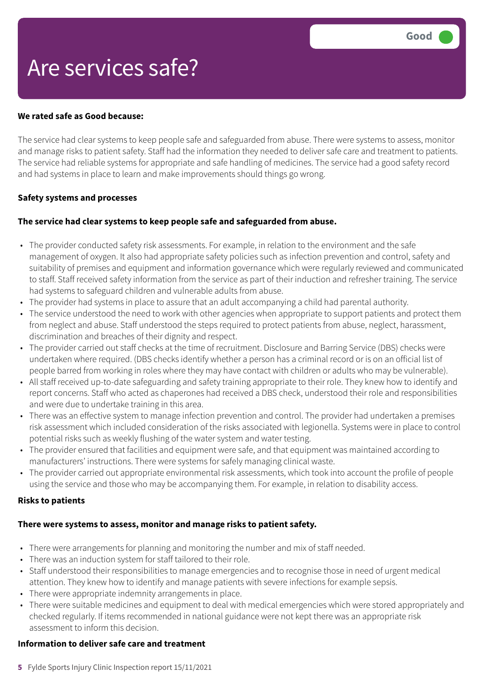# Are services safe?

#### **We rated safe as Good because:**

The service had clear systems to keep people safe and safeguarded from abuse. There were systems to assess, monitor and manage risks to patient safety. Staff had the information they needed to deliver safe care and treatment to patients. The service had reliable systems for appropriate and safe handling of medicines. The service had a good safety record and had systems in place to learn and make improvements should things go wrong.

### **Safety systems and processes**

### **The service had clear systems to keep people safe and safeguarded from abuse.**

- The provider conducted safety risk assessments. For example, in relation to the environment and the safe management of oxygen. It also had appropriate safety policies such as infection prevention and control, safety and suitability of premises and equipment and information governance which were regularly reviewed and communicated to staff. Staff received safety information from the service as part of their induction and refresher training. The service had systems to safeguard children and vulnerable adults from abuse.
- The provider had systems in place to assure that an adult accompanying a child had parental authority.
- The service understood the need to work with other agencies when appropriate to support patients and protect them from neglect and abuse. Staff understood the steps required to protect patients from abuse, neglect, harassment, discrimination and breaches of their dignity and respect.
- The provider carried out staff checks at the time of recruitment. Disclosure and Barring Service (DBS) checks were undertaken where required. (DBS checks identify whether a person has a criminal record or is on an official list of people barred from working in roles where they may have contact with children or adults who may be vulnerable).
- All staff received up-to-date safeguarding and safety training appropriate to their role. They knew how to identify and report concerns. Staff who acted as chaperones had received a DBS check, understood their role and responsibilities and were due to undertake training in this area.
- There was an effective system to manage infection prevention and control. The provider had undertaken a premises risk assessment which included consideration of the risks associated with legionella. Systems were in place to control potential risks such as weekly flushing of the water system and water testing.
- The provider ensured that facilities and equipment were safe, and that equipment was maintained according to manufacturers' instructions. There were systems for safely managing clinical waste.
- The provider carried out appropriate environmental risk assessments, which took into account the profile of people using the service and those who may be accompanying them. For example, in relation to disability access.

#### **Risks to patients**

#### **There were systems to assess, monitor and manage risks to patient safety.**

- There were arrangements for planning and monitoring the number and mix of staff needed.
- There was an induction system for staff tailored to their role.
- Staff understood their responsibilities to manage emergencies and to recognise those in need of urgent medical attention. They knew how to identify and manage patients with severe infections for example sepsis.
- There were appropriate indemnity arrangements in place.
- There were suitable medicines and equipment to deal with medical emergencies which were stored appropriately and checked regularly. If items recommended in national guidance were not kept there was an appropriate risk assessment to inform this decision.

#### **Information to deliver safe care and treatment**

**5** Fylde Sports Injury Clinic Inspection report 15/11/2021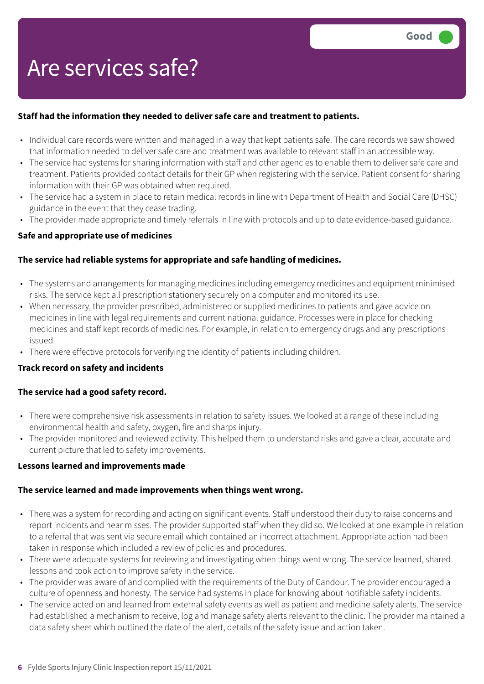# Are services safe?

# **Staff had the information they needed to deliver safe care and treatment to patients.**

- Individual care records were written and managed in a way that kept patients safe. The care records we saw showed that information needed to deliver safe care and treatment was available to relevant staff in an accessible way.
- The service had systems for sharing information with staff and other agencies to enable them to deliver safe care and treatment. Patients provided contact details for their GP when registering with the service. Patient consent for sharing information with their GP was obtained when required.
- The service had a system in place to retain medical records in line with Department of Health and Social Care (DHSC) guidance in the event that they cease trading.
- The provider made appropriate and timely referrals in line with protocols and up to date evidence-based guidance.

### **Safe and appropriate use of medicines**

### **The service had reliable systems for appropriate and safe handling of medicines.**

- The systems and arrangements for managing medicines including emergency medicines and equipment minimised risks. The service kept all prescription stationery securely on a computer and monitored its use.
- When necessary, the provider prescribed, administered or supplied medicines to patients and gave advice on medicines in line with legal requirements and current national guidance. Processes were in place for checking medicines and staff kept records of medicines. For example, in relation to emergency drugs and any prescriptions issued.
- There were effective protocols for verifying the identity of patients including children.

#### **Track record on safety and incidents**

#### **The service had a good safety record.**

- There were comprehensive risk assessments in relation to safety issues. We looked at a range of these including environmental health and safety, oxygen, fire and sharps injury.
- The provider monitored and reviewed activity. This helped them to understand risks and gave a clear, accurate and current picture that led to safety improvements.

#### **Lessons learned and improvements made**

#### **The service learned and made improvements when things went wrong.**

- There was a system for recording and acting on significant events. Staff understood their duty to raise concerns and report incidents and near misses. The provider supported staff when they did so. We looked at one example in relation to a referral that was sent via secure email which contained an incorrect attachment. Appropriate action had been taken in response which included a review of policies and procedures.
- There were adequate systems for reviewing and investigating when things went wrong. The service learned, shared lessons and took action to improve safety in the service.
- The provider was aware of and complied with the requirements of the Duty of Candour. The provider encouraged a culture of openness and honesty. The service had systems in place for knowing about notifiable safety incidents.
- The service acted on and learned from external safety events as well as patient and medicine safety alerts. The service had established a mechanism to receive, log and manage safety alerts relevant to the clinic. The provider maintained a data safety sheet which outlined the date of the alert, details of the safety issue and action taken.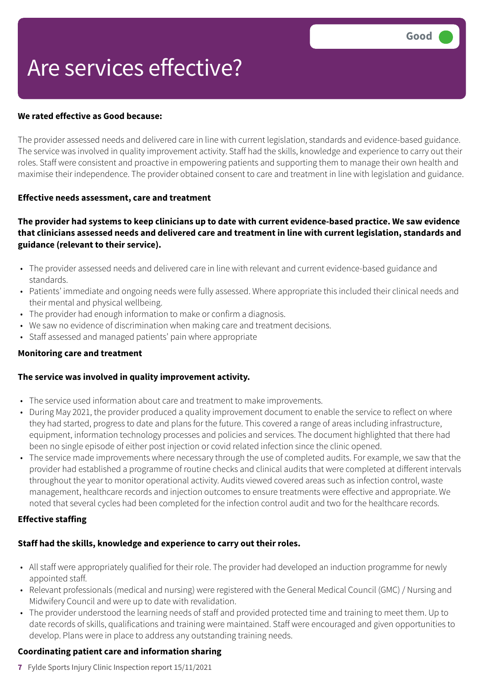# Are services effective?

### **We rated effective as Good because:**

The provider assessed needs and delivered care in line with current legislation, standards and evidence-based guidance. The service was involved in quality improvement activity. Staff had the skills, knowledge and experience to carry out their roles. Staff were consistent and proactive in empowering patients and supporting them to manage their own health and maximise their independence. The provider obtained consent to care and treatment in line with legislation and guidance.

#### **Effective needs assessment, care and treatment**

# The provider had systems to keep clinicians up to date with current evidence-based practice. We saw evidence **that clinicians assessed needs and delivered care and treatment in line with current legislation, standards and guidance (relevant to their service).**

- The provider assessed needs and delivered care in line with relevant and current evidence-based guidance and standards.
- Patients' immediate and ongoing needs were fully assessed. Where appropriate this included their clinical needs and their mental and physical wellbeing.
- The provider had enough information to make or confirm a diagnosis.
- We saw no evidence of discrimination when making care and treatment decisions.
- Staff assessed and managed patients' pain where appropriate

#### **Monitoring care and treatment**

# **The service was involved in quality improvement activity.**

- The service used information about care and treatment to make improvements.
- During May 2021, the provider produced a quality improvement document to enable the service to reflect on where they had started, progress to date and plans for the future. This covered a range of areas including infrastructure, equipment, information technology processes and policies and services. The document highlighted that there had been no single episode of either post injection or covid related infection since the clinic opened.
- The service made improvements where necessary through the use of completed audits. For example, we saw that the provider had established a programme of routine checks and clinical audits that were completed at different intervals throughout the year to monitor operational activity. Audits viewed covered areas such as infection control, waste management, healthcare records and injection outcomes to ensure treatments were effective and appropriate. We noted that several cycles had been completed for the infection control audit and two for the healthcare records.

# **Effective staffing**

# **Staff had the skills, knowledge and experience to carry out their roles.**

- All staff were appropriately qualified for their role. The provider had developed an induction programme for newly appointed staff.
- Relevant professionals (medical and nursing) were registered with the General Medical Council (GMC) / Nursing and Midwifery Council and were up to date with revalidation.
- The provider understood the learning needs of staff and provided protected time and training to meet them. Up to date records of skills, qualifications and training were maintained. Staff were encouraged and given opportunities to develop. Plans were in place to address any outstanding training needs.

#### **Coordinating patient care and information sharing**

**7** Fylde Sports Injury Clinic Inspection report 15/11/2021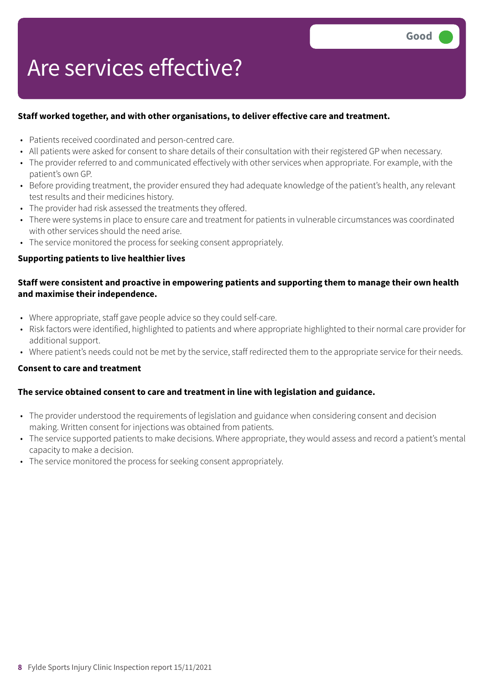# Are services effective?

# **Staff worked together, and with other organisations, to deliver effective care and treatment.**

- Patients received coordinated and person-centred care.
- All patients were asked for consent to share details of their consultation with their registered GP when necessary.
- The provider referred to and communicated effectively with other services when appropriate. For example, with the patient's own GP.
- Before providing treatment, the provider ensured they had adequate knowledge of the patient's health, any relevant test results and their medicines history.
- The provider had risk assessed the treatments they offered.
- There were systems in place to ensure care and treatment for patients in vulnerable circumstances was coordinated with other services should the need arise.
- The service monitored the process for seeking consent appropriately.

# **Supporting patients to live healthier lives**

# **Staff were consistent and proactive in empowering patients and supporting them to manage their own health and maximise their independence.**

- Where appropriate, staff gave people advice so they could self-care.
- Risk factors were identified, highlighted to patients and where appropriate highlighted to their normal care provider for additional support.
- Where patient's needs could not be met by the service, staff redirected them to the appropriate service for their needs.

# **Consent to care and treatment**

# **The service obtained consent to care and treatment in line with legislation and guidance.**

- The provider understood the requirements of legislation and guidance when considering consent and decision making. Written consent for injections was obtained from patients.
- The service supported patients to make decisions. Where appropriate, they would assess and record a patient's mental capacity to make a decision.
- The service monitored the process for seeking consent appropriately.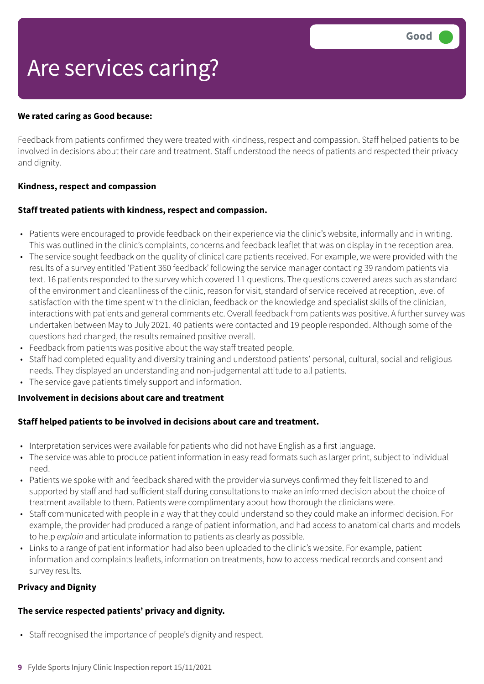# Are services caring?

#### **We rated caring as Good because:**

Feedback from patients confirmed they were treated with kindness, respect and compassion. Staff helped patients to be involved in decisions about their care and treatment. Staff understood the needs of patients and respected their privacy and dignity.

#### **Kindness, respect and compassion**

#### **Staff treated patients with kindness, respect and compassion.**

- Patients were encouraged to provide feedback on their experience via the clinic's website, informally and in writing. This was outlined in the clinic's complaints, concerns and feedback leaflet that was on display in the reception area.
- The service sought feedback on the quality of clinical care patients received. For example, we were provided with the results of a survey entitled 'Patient 360 feedback' following the service manager contacting 39 random patients via text. 16 patients responded to the survey which covered 11 questions. The questions covered areas such as standard of the environment and cleanliness of the clinic, reason for visit, standard of service received at reception, level of satisfaction with the time spent with the clinician, feedback on the knowledge and specialist skills of the clinician, interactions with patients and general comments etc. Overall feedback from patients was positive. A further survey was undertaken between May to July 2021. 40 patients were contacted and 19 people responded. Although some of the questions had changed, the results remained positive overall.
- Feedback from patients was positive about the way staff treated people.
- Staff had completed equality and diversity training and understood patients' personal, cultural, social and religious needs. They displayed an understanding and non-judgemental attitude to all patients.
- The service gave patients timely support and information.

#### **Involvement in decisions about care and treatment**

#### **Staff helped patients to be involved in decisions about care and treatment.**

- Interpretation services were available for patients who did not have English as a first language.
- The service was able to produce patient information in easy read formats such as larger print, subject to individual need.
- Patients we spoke with and feedback shared with the provider via surveys confirmed they felt listened to and supported by staff and had sufficient staff during consultations to make an informed decision about the choice of treatment available to them. Patients were complimentary about how thorough the clinicians were.
- Staff communicated with people in a way that they could understand so they could make an informed decision. For example, the provider had produced a range of patient information, and had access to anatomical charts and models to help *explain* and articulate information to patients as clearly as possible.
- Links to a range of patient information had also been uploaded to the clinic's website. For example, patient information and complaints leaflets, information on treatments, how to access medical records and consent and survey results.

#### **Privacy and Dignity**

#### **The service respected patients' privacy and dignity.**

- Staff recognised the importance of people's dignity and respect.
- **9** Fylde Sports Injury Clinic Inspection report 15/11/2021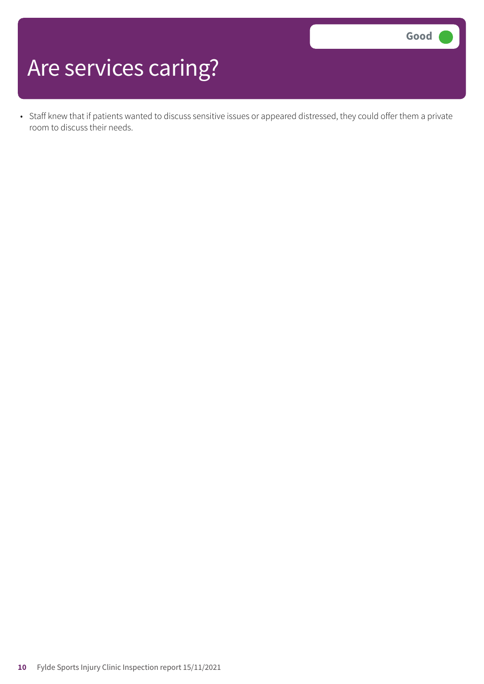# Are services caring?

• Staff knew that if patients wanted to discuss sensitive issues or appeared distressed, they could offer them a private room to discuss their needs.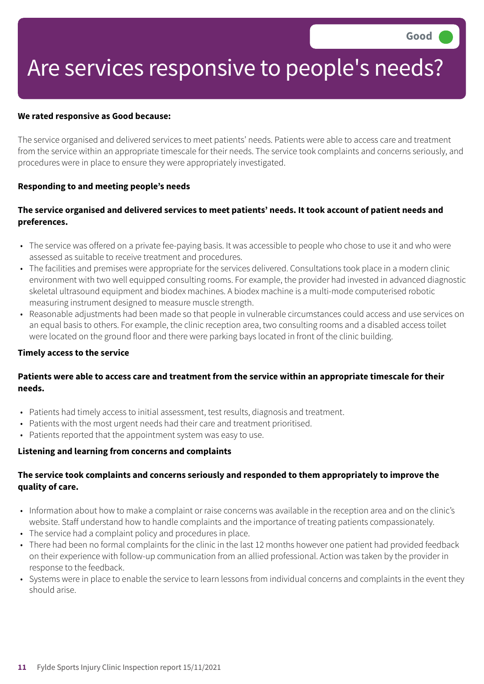# Are services responsive to people's needs?

#### **We rated responsive as Good because:**

The service organised and delivered services to meet patients' needs. Patients were able to access care and treatment from the service within an appropriate timescale for their needs. The service took complaints and concerns seriously, and procedures were in place to ensure they were appropriately investigated.

### **Responding to and meeting people's needs**

# The service organised and delivered services to meet patients' needs. It took account of patient needs and **preferences.**

- The service was offered on a private fee-paying basis. It was accessible to people who chose to use it and who were assessed as suitable to receive treatment and procedures.
- The facilities and premises were appropriate for the services delivered. Consultations took place in a modern clinic environment with two well equipped consulting rooms. For example, the provider had invested in advanced diagnostic skeletal ultrasound equipment and biodex machines. A biodex machine is a multi-mode computerised robotic measuring instrument designed to measure muscle strength.
- Reasonable adjustments had been made so that people in vulnerable circumstances could access and use services on an equal basis to others. For example, the clinic reception area, two consulting rooms and a disabled access toilet were located on the ground floor and there were parking bays located in front of the clinic building.

#### **Timely access to the service**

# Patients were able to access care and treatment from the service within an appropriate timescale for their **needs.**

- Patients had timely access to initial assessment, test results, diagnosis and treatment.
- Patients with the most urgent needs had their care and treatment prioritised.
- Patients reported that the appointment system was easy to use.

#### **Listening and learning from concerns and complaints**

# **The service took complaints and concerns seriously and responded to them appropriately to improve the quality of care.**

- Information about how to make a complaint or raise concerns was available in the reception area and on the clinic's website. Staff understand how to handle complaints and the importance of treating patients compassionately.
- The service had a complaint policy and procedures in place.
- There had been no formal complaints for the clinic in the last 12 months however one patient had provided feedback on their experience with follow-up communication from an allied professional. Action was taken by the provider in response to the feedback.
- Systems were in place to enable the service to learn lessons from individual concerns and complaints in the event they should arise.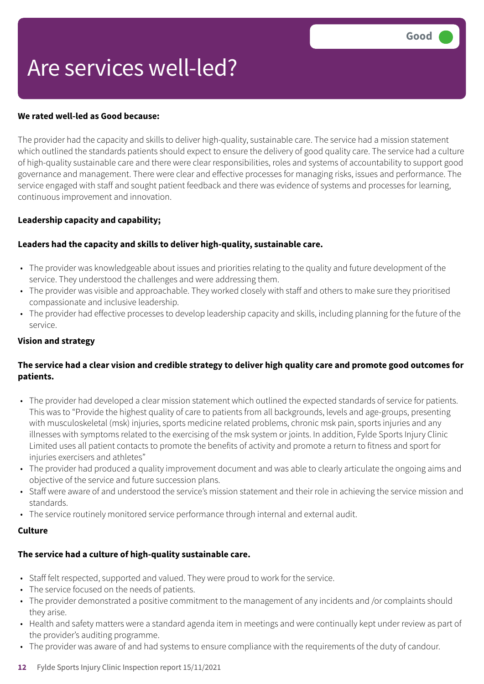# Are services well-led?

### **We rated well-led as Good because:**

The provider had the capacity and skills to deliver high-quality, sustainable care. The service had a mission statement which outlined the standards patients should expect to ensure the delivery of good quality care. The service had a culture of high-quality sustainable care and there were clear responsibilities, roles and systems of accountability to support good governance and management. There were clear and effective processes for managing risks, issues and performance. The service engaged with staff and sought patient feedback and there was evidence of systems and processes for learning, continuous improvement and innovation.

### **Leadership capacity and capability;**

### **Leaders had the capacity and skills to deliver high-quality, sustainable care.**

- The provider was knowledgeable about issues and priorities relating to the quality and future development of the service. They understood the challenges and were addressing them.
- The provider was visible and approachable. They worked closely with staff and others to make sure they prioritised compassionate and inclusive leadership.
- The provider had effective processes to develop leadership capacity and skills, including planning for the future of the service.

#### **Vision and strategy**

# The service had a clear vision and credible strategy to deliver high quality care and promote good outcomes for **patients.**

- The provider had developed a clear mission statement which outlined the expected standards of service for patients. This was to "Provide the highest quality of care to patients from all backgrounds, levels and age-groups, presenting with musculoskeletal (msk) injuries, sports medicine related problems, chronic msk pain, sports injuries and any illnesses with symptoms related to the exercising of the msk system or joints. In addition, Fylde Sports Injury Clinic Limited uses all patient contacts to promote the benefits of activity and promote a return to fitness and sport for injuries exercisers and athletes"
- The provider had produced a quality improvement document and was able to clearly articulate the ongoing aims and objective of the service and future succession plans.
- Staff were aware of and understood the service's mission statement and their role in achieving the service mission and standards.
- The service routinely monitored service performance through internal and external audit.

### **Culture**

# **The service had a culture of high-quality sustainable care.**

- Staff felt respected, supported and valued. They were proud to work for the service.
- The service focused on the needs of patients.
- The provider demonstrated a positive commitment to the management of any incidents and /or complaints should they arise.
- Health and safety matters were a standard agenda item in meetings and were continually kept under review as part of the provider's auditing programme.
- The provider was aware of and had systems to ensure compliance with the requirements of the duty of candour.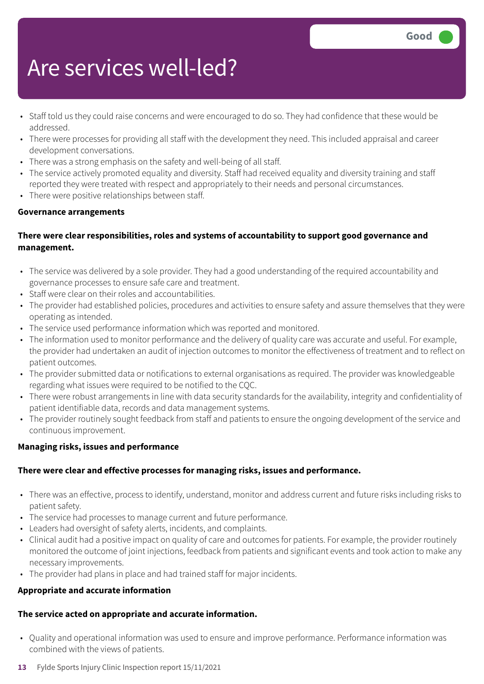# Are services well-led?

- Staff told us they could raise concerns and were encouraged to do so. They had confidence that these would be addressed.
- There were processes for providing all staff with the development they need. This included appraisal and career development conversations.
- There was a strong emphasis on the safety and well-being of all staff.
- The service actively promoted equality and diversity. Staff had received equality and diversity training and staff reported they were treated with respect and appropriately to their needs and personal circumstances.
- There were positive relationships between staff.

# **Governance arrangements**

# **There were clear responsibilities, roles and systems of accountability to support good governance and management.**

- The service was delivered by a sole provider. They had a good understanding of the required accountability and governance processes to ensure safe care and treatment.
- Staff were clear on their roles and accountabilities.
- The provider had established policies, procedures and activities to ensure safety and assure themselves that they were operating as intended.
- The service used performance information which was reported and monitored.
- The information used to monitor performance and the delivery of quality care was accurate and useful. For example, the provider had undertaken an audit of injection outcomes to monitor the effectiveness of treatment and to reflect on patient outcomes.
- The provider submitted data or notifications to external organisations as required. The provider was knowledgeable regarding what issues were required to be notified to the CQC.
- There were robust arrangements in line with data security standards for the availability, integrity and confidentiality of patient identifiable data, records and data management systems.
- The provider routinely sought feedback from staff and patients to ensure the ongoing development of the service and continuous improvement.

# **Managing risks, issues and performance**

# **There were clear and effective processes for managing risks, issues and performance.**

- There was an effective, process to identify, understand, monitor and address current and future risks including risks to patient safety.
- The service had processes to manage current and future performance.
- Leaders had oversight of safety alerts, incidents, and complaints.
- Clinical audit had a positive impact on quality of care and outcomes for patients. For example, the provider routinely monitored the outcome of joint injections, feedback from patients and significant events and took action to make any necessary improvements.
- The provider had plans in place and had trained staff for major incidents.

# **Appropriate and accurate information**

# **The service acted on appropriate and accurate information.**

- Quality and operational information was used to ensure and improve performance. Performance information was combined with the views of patients.
- **13** Fylde Sports Injury Clinic Inspection report 15/11/2021